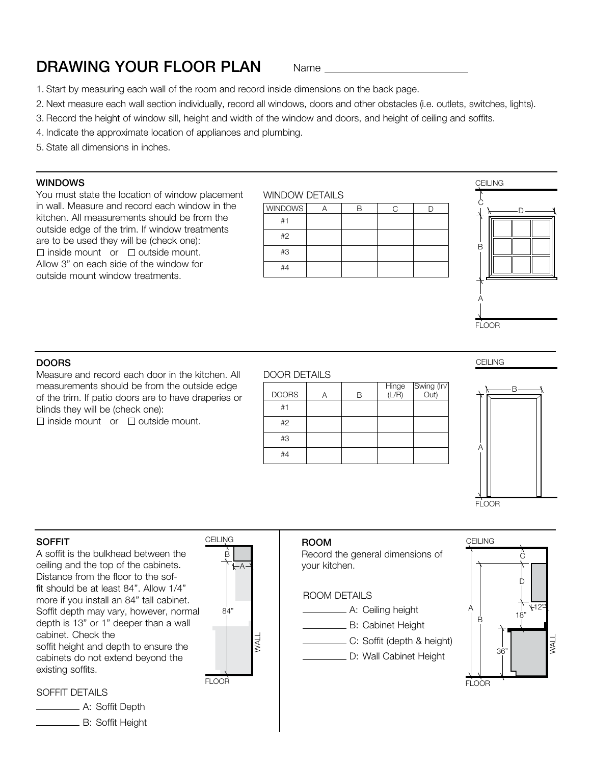# **DRAWING YOUR FLOOR PLAN** Name

- 1. Start by measuring each wall of the room and record inside dimensions on the back page.
- 2. Next measure each wall section individually, record all windows, doors and other obstacles (i.e. outlets, switches, lights).
- 3. Record the height of window sill, height and width of the window and doors, and height of ceiling and soffits.
- 4. Indicate the approximate location of appliances and plumbing.
- 5. State all dimensions in inches.

#### WINDOWS

You must state the location of window placement in wall. Measure and record each window in the kitchen. All measurements should be from the outside edge of the trim. If window treatments are to be used they will be (check one):  $\Box$  inside mount or  $\Box$  outside mount. Allow 3" on each side of the window for outside mount window treatments.







#### **DOORS**

Measure and record each door in the kitchen. All measurements should be from the outside edge of the trim. If patio doors are to have draperies or blinds they will be (check one):

 $\Box$  inside mount or  $\Box$  outside mount.

#### DOOR DETAILS

| <b>DOORS</b> | В | Hinge Swing (In/<br>(L/R) Out) |
|--------------|---|--------------------------------|
| #1           |   |                                |
| #2           |   |                                |
| #3           |   |                                |
| #4           |   |                                |
|              |   |                                |

CEILING



#### SOFFIT

A soffit is the bulkhead between the ceiling and the top of the cabinets. Distance from the floor to the soffit should be at least 84". Allow 1/4" more if you install an 84" tall cabinet. Soffit depth may vary, however, normal depth is 13" or 1" deeper than a wall cabinet. Check the soffit height and depth to ensure the cabinets do not extend beyond the existing soffits.



### ROOM

Record the general dimensions of your kitchen.

### ROOM DETAILS

- **A:** Ceiling height
- B: Cabinet Height
- C: Soffit (depth & height)
- D: Wall Cabinet Height



SOFFIT DETAILS

**A: Soffit Depth** B: Soffit Height